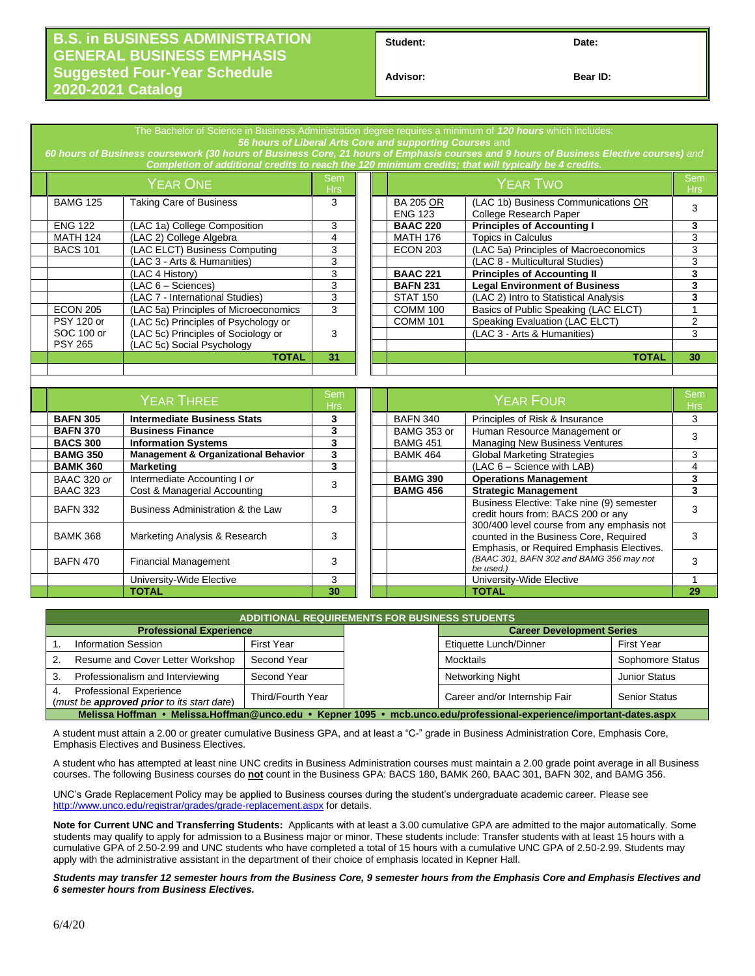## **B.S. in BUSINESS ADMINISTRATION GENERAL BUSINESS EMPHASIS Suggested Four-Year Schedule 2020-2021 Catalog**

Student: Date:

**Advisor: Bear ID:** 

| The Bachelor of Science in Business Administration degree requires a minimum of 120 hours which includes:<br>56 hours of Liberal Arts Core and supporting Courses and<br>60 hours of Business coursework (30 hours of Business Core, 21 hours of Emphasis courses and 9 hours of Business Elective courses) and<br>Completion of additional credits to reach the 120 minimum credits; that will typically be 4 credits. |                   |                                       |                          |  |                                    |                                                               |                          |  |  |
|-------------------------------------------------------------------------------------------------------------------------------------------------------------------------------------------------------------------------------------------------------------------------------------------------------------------------------------------------------------------------------------------------------------------------|-------------------|---------------------------------------|--------------------------|--|------------------------------------|---------------------------------------------------------------|--------------------------|--|--|
|                                                                                                                                                                                                                                                                                                                                                                                                                         | <b>YEAR ONE</b>   |                                       | <b>Sem</b><br><b>Hrs</b> |  | <b>YEAR TWO</b>                    |                                                               | Sem<br><b>Hrs</b>        |  |  |
|                                                                                                                                                                                                                                                                                                                                                                                                                         | <b>BAMG 125</b>   | Taking Care of Business               | 3                        |  | <b>BA 205 OR</b><br><b>ENG 123</b> | (LAC 1b) Business Communications OR<br>College Research Paper | 3                        |  |  |
|                                                                                                                                                                                                                                                                                                                                                                                                                         | <b>ENG 122</b>    | (LAC 1a) College Composition          | 3                        |  | <b>BAAC 220</b>                    | <b>Principles of Accounting I</b>                             | 3                        |  |  |
|                                                                                                                                                                                                                                                                                                                                                                                                                         | <b>MATH 124</b>   | (LAC 2) College Algebra               | 4                        |  | <b>MATH 176</b>                    | <b>Topics in Calculus</b>                                     | 3                        |  |  |
|                                                                                                                                                                                                                                                                                                                                                                                                                         | <b>BACS 101</b>   | (LAC ELCT) Business Computing         | 3                        |  | <b>ECON 203</b>                    | (LAC 5a) Principles of Macroeconomics                         | 3                        |  |  |
|                                                                                                                                                                                                                                                                                                                                                                                                                         |                   | (LAC 3 - Arts & Humanities)           | 3                        |  |                                    | (LAC 8 - Multicultural Studies)                               | 3                        |  |  |
|                                                                                                                                                                                                                                                                                                                                                                                                                         |                   | (LAC 4 History)                       | 3                        |  | <b>BAAC 221</b>                    | <b>Principles of Accounting II</b>                            | 3                        |  |  |
|                                                                                                                                                                                                                                                                                                                                                                                                                         |                   | $(LAC 6 - Sciences)$                  | 3                        |  | <b>BAFN 231</b>                    | <b>Legal Environment of Business</b>                          | 3                        |  |  |
|                                                                                                                                                                                                                                                                                                                                                                                                                         |                   | (LAC 7 - International Studies)       | 3                        |  | <b>STAT 150</b>                    | (LAC 2) Intro to Statistical Analysis                         | 3                        |  |  |
|                                                                                                                                                                                                                                                                                                                                                                                                                         | <b>ECON 205</b>   | (LAC 5a) Principles of Microeconomics | 3                        |  | <b>COMM 100</b>                    | Basics of Public Speaking (LAC ELCT)                          |                          |  |  |
|                                                                                                                                                                                                                                                                                                                                                                                                                         | <b>PSY 120 or</b> | (LAC 5c) Principles of Psychology or  |                          |  | <b>COMM 101</b>                    | Speaking Evaluation (LAC ELCT)                                | $\overline{2}$           |  |  |
|                                                                                                                                                                                                                                                                                                                                                                                                                         | SOC 100 or        | (LAC 5c) Principles of Sociology or   | 3                        |  |                                    | (LAC 3 - Arts & Humanities)                                   | 3                        |  |  |
|                                                                                                                                                                                                                                                                                                                                                                                                                         | <b>PSY 265</b>    | (LAC 5c) Social Psychology            |                          |  |                                    |                                                               |                          |  |  |
|                                                                                                                                                                                                                                                                                                                                                                                                                         |                   | <b>TOTAL</b>                          | 31                       |  |                                    | <b>TOTAL</b>                                                  | 30                       |  |  |
|                                                                                                                                                                                                                                                                                                                                                                                                                         |                   |                                       |                          |  |                                    |                                                               |                          |  |  |
|                                                                                                                                                                                                                                                                                                                                                                                                                         |                   |                                       |                          |  |                                    |                                                               |                          |  |  |
|                                                                                                                                                                                                                                                                                                                                                                                                                         | <b>YEAR THREE</b> |                                       | Sem<br><b>Hrs</b>        |  | <b>YEAR FOUR</b>                   |                                                               | <b>Sem</b><br><b>Hrs</b> |  |  |
|                                                                                                                                                                                                                                                                                                                                                                                                                         | <b>DAEN SOF</b>   | Internacijate Ducinego Ctate          | $\bullet$                |  | PATN1240                           | Dringiples of Diale 8 Incurrance                              | $\sim$                   |  |  |

| EAR IHREE          |                                                 | <b>Hrs</b> | I EAR FOUR      |                                                                                                                                   | <b>Hrs</b> |
|--------------------|-------------------------------------------------|------------|-----------------|-----------------------------------------------------------------------------------------------------------------------------------|------------|
| <b>BAFN 305</b>    | <b>Intermediate Business Stats</b>              | 3          | <b>BAFN 340</b> | Principles of Risk & Insurance                                                                                                    |            |
| <b>BAFN 370</b>    | <b>Business Finance</b>                         |            | BAMG 353 or     | Human Resource Management or                                                                                                      |            |
| <b>BACS 300</b>    | <b>Information Systems</b>                      |            | <b>BAMG 451</b> | <b>Managing New Business Ventures</b>                                                                                             |            |
| <b>BAMG 350</b>    | <b>Management &amp; Organizational Behavior</b> | 3          | <b>BAMK 464</b> | <b>Global Marketing Strategies</b>                                                                                                |            |
| <b>BAMK 360</b>    | <b>Marketing</b>                                | 3          |                 | $(LAC 6 - Science with LAB)$                                                                                                      |            |
| <b>BAAC 320 or</b> | Intermediate Accounting I or                    |            | <b>BAMG 390</b> | <b>Operations Management</b>                                                                                                      |            |
| <b>BAAC 323</b>    | Cost & Managerial Accounting                    |            | <b>BAMG 456</b> | <b>Strategic Management</b>                                                                                                       |            |
| <b>BAFN 332</b>    | Business Administration & the Law               | 3          |                 | Business Elective: Take nine (9) semester<br>credit hours from: BACS 200 or any                                                   |            |
| <b>BAMK 368</b>    | Marketing Analysis & Research                   | 3          |                 | 300/400 level course from any emphasis not<br>counted in the Business Core, Required<br>Emphasis, or Required Emphasis Electives. |            |
| <b>BAFN 470</b>    | <b>Financial Management</b>                     |            |                 | (BAAC 301, BAFN 302 and BAMG 356 may not<br>be used.)                                                                             |            |
|                    | University-Wide Elective                        | 3          |                 | University-Wide Elective                                                                                                          |            |
|                    | <b>TOTAL</b>                                    | 30         |                 | <b>TOTAL</b>                                                                                                                      | 29         |

| <b>ADDITIONAL REQUIREMENTS FOR BUSINESS STUDENTS</b>                                                                 |                   |  |                                  |                      |  |  |  |  |  |
|----------------------------------------------------------------------------------------------------------------------|-------------------|--|----------------------------------|----------------------|--|--|--|--|--|
| <b>Professional Experience</b>                                                                                       |                   |  | <b>Career Development Series</b> |                      |  |  |  |  |  |
| <b>Information Session</b>                                                                                           | First Year        |  | Etiquette Lunch/Dinner           | <b>First Year</b>    |  |  |  |  |  |
| Resume and Cover Letter Workshop                                                                                     | Second Year       |  | Mocktails                        | Sophomore Status     |  |  |  |  |  |
| Professionalism and Interviewing<br>Second Year<br>З.                                                                |                   |  | Networking Night                 | <b>Junior Status</b> |  |  |  |  |  |
| <b>Professional Experience</b><br>4.<br>(must be <b>approved prior</b> to its start date)                            | Third/Fourth Year |  | Career and/or Internship Fair    | <b>Senior Status</b> |  |  |  |  |  |
| Melissa Hoffman • Melissa.Hoffman@unco.edu • Kepner 1095 • mcb.unco.edu/professional-experience/important-dates.aspx |                   |  |                                  |                      |  |  |  |  |  |

A student must attain a 2.00 or greater cumulative Business GPA, and at least a "C-" grade in Business Administration Core, Emphasis Core, Emphasis Electives and Business Electives.

A student who has attempted at least nine UNC credits in Business Administration courses must maintain a 2.00 grade point average in all Business courses. The following Business courses do **not** count in the Business GPA: BACS 180, BAMK 260, BAAC 301, BAFN 302, and BAMG 356.

UNC's Grade Replacement Policy may be applied to Business courses during the student's undergraduate academic career. Please see <http://www.unco.edu/registrar/grades/grade-replacement.aspx> for details.

**Note for Current UNC and Transferring Students:** Applicants with at least a 3.00 cumulative GPA are admitted to the major automatically. Some students may qualify to apply for admission to a Business major or minor. These students include: Transfer students with at least 15 hours with a cumulative GPA of 2.50-2.99 and UNC students who have completed a total of 15 hours with a cumulative UNC GPA of 2.50-2.99. Students may apply with the administrative assistant in the department of their choice of emphasis located in Kepner Hall.

*Students may transfer 12 semester hours from the Business Core, 9 semester hours from the Emphasis Core and Emphasis Electives and 6 semester hours from Business Electives.*